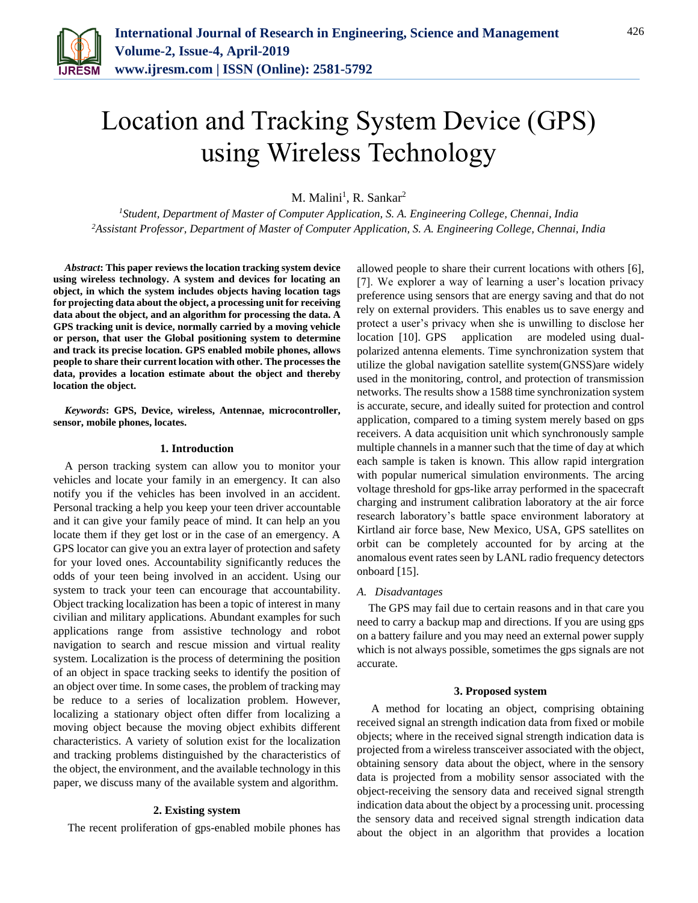

# Location and Tracking System Device (GPS) using Wireless Technology

M. Malini<sup>1</sup>, R. Sankar<sup>2</sup>

*<sup>1</sup>Student, Department of Master of Computer Application, S. A. Engineering College, Chennai, India 2Assistant Professor, Department of Master of Computer Application, S. A. Engineering College, Chennai, India*

*Abstract***: This paper reviews the location tracking system device using wireless technology. A system and devices for locating an object, in which the system includes objects having location tags for projecting data about the object, a processing unit for receiving data about the object, and an algorithm for processing the data. A GPS tracking unit is device, normally carried by a moving vehicle or person, that user the Global positioning system to determine and track its precise location. GPS enabled mobile phones, allows people to share their current location with other. The processes the data, provides a location estimate about the object and thereby location the object.** 

*Keywords***: GPS, Device, wireless, Antennae, microcontroller, sensor, mobile phones, locates.**

#### **1. Introduction**

A person tracking system can allow you to monitor your vehicles and locate your family in an emergency. It can also notify you if the vehicles has been involved in an accident. Personal tracking a help you keep your teen driver accountable and it can give your family peace of mind. It can help an you locate them if they get lost or in the case of an emergency. A GPS locator can give you an extra layer of protection and safety for your loved ones. Accountability significantly reduces the odds of your teen being involved in an accident. Using our system to track your teen can encourage that accountability. Object tracking localization has been a topic of interest in many civilian and military applications. Abundant examples for such applications range from assistive technology and robot navigation to search and rescue mission and virtual reality system. Localization is the process of determining the position of an object in space tracking seeks to identify the position of an object over time. In some cases, the problem of tracking may be reduce to a series of localization problem. However, localizing a stationary object often differ from localizing a moving object because the moving object exhibits different characteristics. A variety of solution exist for the localization and tracking problems distinguished by the characteristics of the object, the environment, and the available technology in this paper, we discuss many of the available system and algorithm.

## **2. Existing system**

The recent proliferation of gps-enabled mobile phones has

allowed people to share their current locations with others [6], [7]. We explorer a way of learning a user's location privacy preference using sensors that are energy saving and that do not rely on external providers. This enables us to save energy and protect a user's privacy when she is unwilling to disclose her location [10]. GPS application are modeled using dualpolarized antenna elements. Time synchronization system that utilize the global navigation satellite system(GNSS)are widely used in the monitoring, control, and protection of transmission networks. The results show a 1588 time synchronization system is accurate, secure, and ideally suited for protection and control application, compared to a timing system merely based on gps receivers. A data acquisition unit which synchronously sample multiple channels in a manner such that the time of day at which each sample is taken is known. This allow rapid intergration with popular numerical simulation environments. The arcing voltage threshold for gps-like array performed in the spacecraft charging and instrument calibration laboratory at the air force research laboratory's battle space environment laboratory at Kirtland air force base, New Mexico, USA, GPS satellites on orbit can be completely accounted for by arcing at the anomalous event rates seen by LANL radio frequency detectors onboard [15].

#### *A. Disadvantages*

The GPS may fail due to certain reasons and in that care you need to carry a backup map and directions. If you are using gps on a battery failure and you may need an external power supply which is not always possible, sometimes the gps signals are not accurate.

#### **3. Proposed system**

A method for locating an object, comprising obtaining received signal an strength indication data from fixed or mobile objects; where in the received signal strength indication data is projected from a wireless transceiver associated with the object, obtaining sensory data about the object, where in the sensory data is projected from a mobility sensor associated with the object-receiving the sensory data and received signal strength indication data about the object by a processing unit. processing the sensory data and received signal strength indication data about the object in an algorithm that provides a location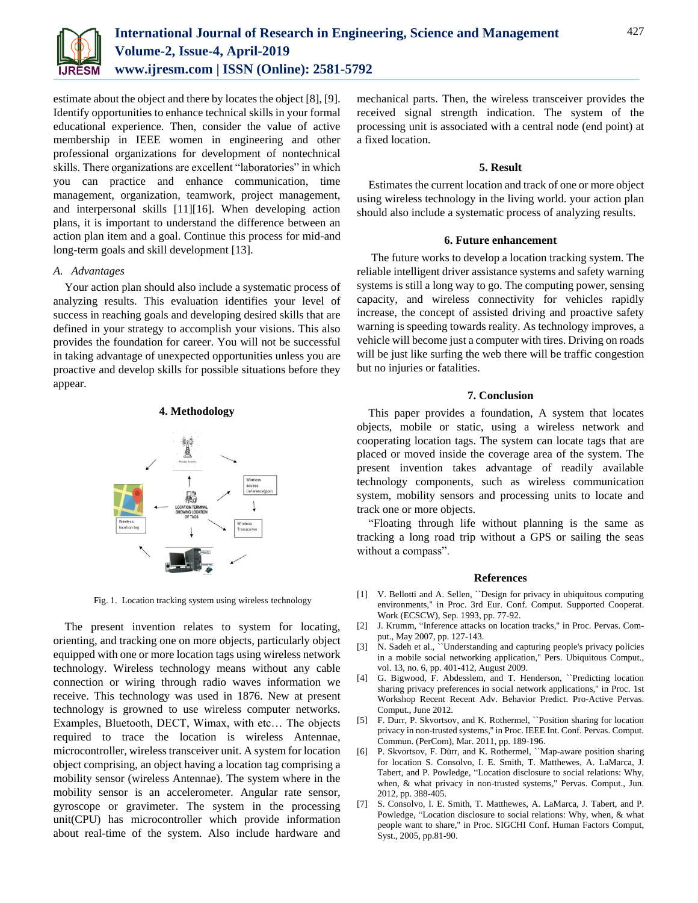

estimate about the object and there by locates the object [8], [9]. Identify opportunities to enhance technical skills in your formal educational experience. Then, consider the value of active membership in IEEE women in engineering and other professional organizations for development of nontechnical skills. There organizations are excellent "laboratories" in which you can practice and enhance communication, time management, organization, teamwork, project management, and interpersonal skills [11][16]. When developing action plans, it is important to understand the difference between an action plan item and a goal. Continue this process for mid-and long-term goals and skill development [13].

## *A. Advantages*

Your action plan should also include a systematic process of analyzing results. This evaluation identifies your level of success in reaching goals and developing desired skills that are defined in your strategy to accomplish your visions. This also provides the foundation for career. You will not be successful in taking advantage of unexpected opportunities unless you are proactive and develop skills for possible situations before they appear.

### **4. Methodology**



Fig. 1. Location tracking system using wireless technology

The present invention relates to system for locating, orienting, and tracking one on more objects, particularly object equipped with one or more location tags using wireless network technology. Wireless technology means without any cable connection or wiring through radio waves information we receive. This technology was used in 1876. New at present technology is growned to use wireless computer networks. Examples, Bluetooth, DECT, Wimax, with etc… The objects required to trace the location is wireless Antennae, microcontroller, wireless transceiver unit. A system for location object comprising, an object having a location tag comprising a mobility sensor (wireless Antennae). The system where in the mobility sensor is an accelerometer. Angular rate sensor, gyroscope or gravimeter. The system in the processing unit(CPU) has microcontroller which provide information about real-time of the system. Also include hardware and mechanical parts. Then, the wireless transceiver provides the received signal strength indication. The system of the processing unit is associated with a central node (end point) at a fixed location.

## **5. Result**

Estimates the current location and track of one or more object using wireless technology in the living world. your action plan should also include a systematic process of analyzing results.

## **6. Future enhancement**

The future works to develop a location tracking system. The reliable intelligent driver assistance systems and safety warning systems is still a long way to go. The computing power, sensing capacity, and wireless connectivity for vehicles rapidly increase, the concept of assisted driving and proactive safety warning is speeding towards reality. As technology improves, a vehicle will become just a computer with tires. Driving on roads will be just like surfing the web there will be traffic congestion but no injuries or fatalities.

# **7. Conclusion**

This paper provides a foundation, A system that locates objects, mobile or static, using a wireless network and cooperating location tags. The system can locate tags that are placed or moved inside the coverage area of the system. The present invention takes advantage of readily available technology components, such as wireless communication system, mobility sensors and processing units to locate and track one or more objects.

"Floating through life without planning is the same as tracking a long road trip without a GPS or sailing the seas without a compass".

#### **References**

- [1] V. Bellotti and A. Sellen, "Design for privacy in ubiquitous computing environments,'' in Proc. 3rd Eur. Conf. Comput. Supported Cooperat. Work (ECSCW), Sep. 1993, pp. 77-92.
- [2] J. Krumm, "Inference attacks on location tracks," in Proc. Pervas. Comput., May 2007, pp. 127-143.
- [3] N. Sadeh et al., "Understanding and capturing people's privacy policies in a mobile social networking application,'' Pers. Ubiquitous Comput., vol. 13, no. 6, pp. 401-412, August 2009.
- [4] G. Bigwood, F. Abdesslem, and T. Henderson, ``Predicting location sharing privacy preferences in social network applications,'' in Proc. 1st Workshop Recent Recent Adv. Behavior Predict. Pro-Active Pervas. Comput., June 2012.
- [5] F. Durr, P. Skvortsov, and K. Rothermel, ``Position sharing for location privacy in non-trusted systems,'' in Proc. IEEE Int. Conf. Pervas. Comput. Commun. (PerCom), Mar. 2011, pp. 189-196.
- [6] P. Skvortsov, F. Dürr, and K. Rothermel, ``Map-aware position sharing for location S. Consolvo, I. E. Smith, T. Matthewes, A. LaMarca, J. Tabert, and P. Powledge, "Location disclosure to social relations: Why, when, & what privacy in non-trusted systems,'' Pervas. Comput., Jun. 2012, pp. 388-405.
- [7] S. Consolvo, I. E. Smith, T. Matthewes, A. LaMarca, J. Tabert, and P. Powledge, "Location disclosure to social relations: Why, when, & what people want to share,'' in Proc. SIGCHI Conf. Human Factors Comput, Syst., 2005, pp.81-90.